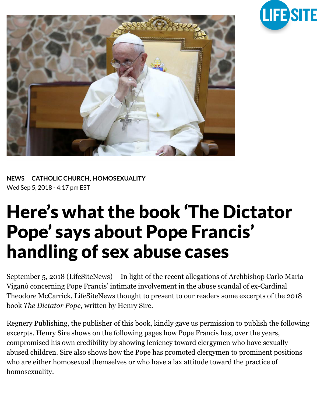

**NEWS CATHOLIC CHURCH**, **HOMOSEXUALITY** Wed Sep 5, 2018 - 4:17 pm EST

## Here's what the book 'The Dictat [Po](https://www.lifesitenews.com/news)[pe' says](https://www.lifesitenews.com/topics/catholic-church) [about](https://www.lifesitenews.com/topics/homosexuality) Pope Francis' handling of sex abuse cases

September  $5$ , 2018 (LifeSiteNews) – In light of the recent allegations of Archbishop  $\mathsf O$ Viganò concerning Pope Francis' intimate involvement in the abuse scandal of ex-Car Theodore McCarrick, LifeSiteNews thought to present to our readers some excerpts of book *The Dictator Pope*, written by Henry Sire.

Regnery Publishing, the publisher of this book, kindly gave us permission to publish excerpts. Henry Sir[e shows on the](http://www.lifesitenews.com/) following pages how Pope Francis has, over the years compromised his own credibility by showing leniency toward clergymen who have se abused children. Sire also shows how the Pope has promoted clergymen to prominen who [are either homosex](https://www.regnery.com/books/the-dictator-pope/)ual themselves or who have a lax attitude toward the practice homosexuality.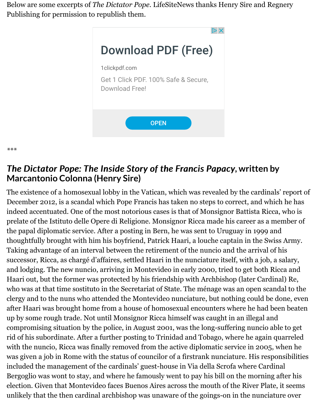

*\*\*\**

## *The Dictator Pope: The Inside Story of the Francis Papacy*, written **Marcantonio Colonna (Henry [Sire\)](https://googleads.g.doubleclick.net/aclk?sa=l&ai=Cb9NfBIiyXLPqNcfVhQbNp7aoAfG3sP1VlonJtvMH5tCGyJMMEAEgnPqYEmDJxpmM0KTkD6ABpdq-igPIAQHgAgCoAwHIAwqqBJ0CT9Bd2hp5N7g94v6L_6w_qrkgvTica6Hdmima4B2jsUBZJaNr2XauYz3KBeoqO5TXgji1rbNV63w3QxwaqrENET8068coHpEfV3a8eQSQRPjoxXK9EqiYghvue5WqwOcJ_-2GmsNjHpoKxqbIrH26trK607re24Sy-jaNTZcWgbD_tjdHTZ5_La7tjtsUwbMI0lg1q-Wgwp3rCIJ3_W_mmv4IfbuPE5F0B3R3ND2WorInO0RDi_07EhFM6leohN489tZibnbz85tokA6Sgd7Xc1PBBrs81EHeuP9mNEkakjLP37NXOAEWsoxM6aZDU6rPSgo_BFVM8EpZi0Mxf2tnGoDlPxjoU4Yek4TpyvrIeHlV6xwdpyCayUWX_4mz4AQBgAeE65N7qAeOzhuoB9XJG6gH4NMbqAe6BqgH2csbqAfPzBuoB6a-G9gHAdIIBwiAYRABGAGxCTsOxCPllpYEgAoB2BMM&ae=1&num=1&sig=AOD64_2n1MJZm-GzGybr0PlrH1pptXGfzQ&client=ca-pub-6900635172202721&nx=CLICK_X&ny=CLICK_Y&nb=8&adurl=https://1clickpdf.com/start/%3Ft%3Dsaf%26gclid%3DEAIaIQobChMIs_zx37LO4QIVx2rBCh3Nkw0VEAEYASAAEgI8ZvD_BwE)**

The existence of a homosexual lobby in the Vatican, which was revealed by the cardinal December 2012, is a scandal which Pope Francis has taken no steps to correct, and w indeed accentuated. One of the most notorious cases is that of Monsignor Battista Ric prelate of the Istituto delle Opere di Religione. Monsignor Ricca made his career as a the papal diplomatic service. After a posting in Bern, he was sent to Uruguay in 1999 thoughtfully brought with him his boyfriend, Patrick Haari, a louche captain in the S Taking advantage of an interval between the retirement of the nuncio and the arrival successor, Ricca, as chargé d'affaires, settled Haari in the nunciature itself, with a job and lodging. The new nuncio, arriving in Montevideo in early 2000, tried to get both Haari out, but the former was protected by his friendship with Archbishop (later Cardinal) who was at that time sostituto in the Secretariat of State. The ménage was an open sc clergy and to the nuns who attended the Montevideo nunciature, but nothing could b after Haari was brought home from a house of homosexual encounters where he had up by some rough trade. Not until Monsignor Ricca himself was caught in an illegal a compromising situation by the police, in August 2001, was the long-suffering nuncio rid of his subordinate. After a further posting to Trinidad and Tobago, where he again with the nuncio, Ricca was finally removed from the active diplomatic service in 200; was given a job in Rome with the status of councilor of a firstrank nunciature. His res included the management of the cardinals' guest-house in Via della Scrofa where Car Bergoglio was wont to stay, and where he famously went to pay his bill on the morning election. Given that Montevideo faces Buenos Aires across the mouth of the River Pla unlikely that the then cardinal archbishop was unaware of the goings-on in the nunci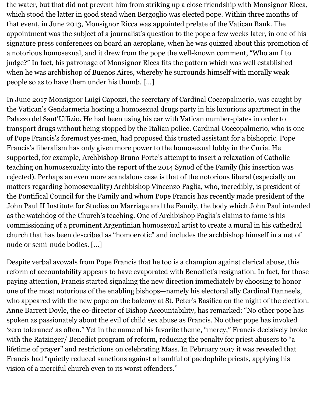the water, but that did not prevent him from striking up a close friendship with Monsignor Ricca, which stood the latter in good stead when Bergoglio was elected pope. Within three months of that event, in June 2013, Monsignor Ricca was appointed prelate of the Vatican Bank. The appointment was the subject of a journalist's question to the pope a few weeks later, in one of his signature press conferences on board an aeroplane, when he was quizzed about this promotion of a notorious homosexual, and it drew from the pope the well-known comment, "Who am I to judge?" In fact, his patronage of Monsignor Ricca fits the pattern which was well established when he was archbishop of Buenos Aires, whereby he surrounds himself with morally weak people so as to have them under his thumb. […]

In June 2017 Monsignor Luigi Capozzi, the secretary of Cardinal Coccopalmerio, was caught by the Vatican's Gendarmeria hosting a homosexual drugs party in his luxurious apartment in the Palazzo del Sant'Uffizio. He had been using his car with Vatican number-plates in order to transport drugs without being stopped by the Italian police. Cardinal Coccopalmerio, who is one of Pope Francis's foremost yes-men, had proposed this trusted assistant for a bishopric. Pope Francis's liberalism has only given more power to the homosexual lobby in the Curia. He supported, for example, Archbishop Bruno Forte's attempt to insert a relaxation of Catholic teaching on homosexuality into the report of the 2014 Synod of the Family (his insertion was rejected). Perhaps an even more scandalous case is that of the notorious liberal (especially on matters regarding homosexuality) Archbishop Vincenzo Paglia, who, incredibly, is president of the Pontifical Council for the Family and whom Pope Francis has recently made president of the John Paul II Institute for Studies on Marriage and the Family, the body which John Paul intended as the watchdog of the Church's teaching. One of Archbishop Paglia's claims to fame is his commissioning of a prominent Argentinian homosexual artist to create a mural in his cathedral church that has been described as "homoerotic" and includes the archbishop himself in a net of nude or semi-nude bodies. […]

Despite verbal avowals from Pope Francis that he too is a champion against clerical abuse, this reform of accountability appears to have evaporated with Benedict's resignation. In fact, for those paying attention, Francis started signaling the new direction immediately by choosing to honor one of the most notorious of the enabling bishops—namely his electoral ally Cardinal Danneels, who appeared with the new pope on the balcony at St. Peter's Basilica on the night of the election. Anne Barrett Doyle, the co-director of Bishop Accountability, has remarked: "No other pope has spoken as passionately about the evil of child sex abuse as Francis. No other pope has invoked 'zero tolerance' as often." Yet in the name of his favorite theme, "mercy," Francis decisively broke with the Ratzinger/ Benedict program of reform, reducing the penalty for priest abusers to "a lifetime of prayer" and restrictions on celebrating Mass. In February 2017 it was revealed that Francis had "quietly reduced sanctions against a handful of paedophile priests, applying his vision of a merciful church even to its worst offenders."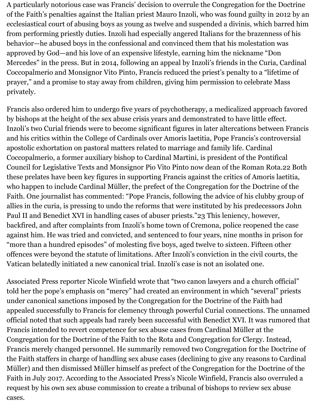A particularly notorious case was Francis' decision to overrule the Congregation for the Doctrine of the Faith's penalties against the Italian priest Mauro Inzoli, who was found guilty in 2012 by an ecclesiastical court of abusing boys as young as twelve and suspended a divinis, which barred him from performing priestly duties. Inzoli had especially angered Italians for the brazenness of his behavior—he abused boys in the confessional and convinced them that his molestation was approved by God—and his love of an expensive lifestyle, earning him the nickname "Don Mercedes" in the press. But in 2014, following an appeal by Inzoli's friends in the Curia, Cardinal Coccopalmerio and Monsignor Vito Pinto, Francis reduced the priest's penalty to a "lifetime of prayer," and a promise to stay away from children, giving him permission to celebrate Mass privately.

Francis also ordered him to undergo five years of psychotherapy, a medicalized approach favored by bishops at the height of the sex abuse crisis years and demonstrated to have little effect. Inzoli's two Curial friends were to become significant figures in later altercations between Francis and his critics within the College of Cardinals over Amoris laetitia, Pope Francis's controversial apostolic exhortation on pastoral matters related to marriage and family life. Cardinal Coccopalmerio, a former auxiliary bishop to Cardinal Martini, is president of the Pontifical Council for Legislative Texts and Monsignor Pio Vito Pinto now dean of the Roman Rota.22 Both these prelates have been key figures in supporting Francis against the critics of Amoris laetitia, who happen to include Cardinal Müller, the prefect of the Congregation for the Doctrine of the Faith. One journalist has commented: "Pope Francis, following the advice of his clubby group of allies in the curia, is pressing to undo the reforms that were instituted by his predecessors John Paul II and Benedict XVI in handling cases of abuser priests."23 This leniency, however, backfired, and after complaints from Inzoli's home town of Cremona, police reopened the case against him. He was tried and convicted, and sentenced to four years, nine months in prison for "more than a hundred episodes" of molesting five boys, aged twelve to sixteen. Fifteen other offences were beyond the statute of limitations. After Inzoli's conviction in the civil courts, the Vatican belatedly initiated a new canonical trial. Inzoli's case is not an isolated one.

Associated Press reporter Nicole Winfield wrote that "two canon lawyers and a church official" told her the pope's emphasis on "mercy" had created an environment in which "several" priests under canonical sanctions imposed by the Congregation for the Doctrine of the Faith had appealed successfully to Francis for clemency through powerful Curial connections. The unnamed official noted that such appeals had rarely been successful with Benedict XVI. It was rumored that Francis intended to revert competence for sex abuse cases from Cardinal Müller at the Congregation for the Doctrine of the Faith to the Rota and Congregation for Clergy. Instead, Francis merely changed personnel. He summarily removed two Congregation for the Doctrine of the Faith staffers in charge of handling sex abuse cases (declining to give any reasons to Cardinal Müller) and then dismissed Müller himself as prefect of the Congregation for the Doctrine of the Faith in July 2017. According to the Associated Press's Nicole Winfield, Francis also overruled a request by his own sex abuse commission to create a tribunal of bishops to review sex abuse cases.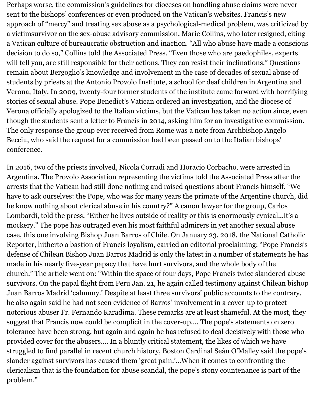Perhaps worse, the commission's guidelines for dioceses on handling abuse claims were never sent to the bishops' conferences or even produced on the Vatican's websites. Francis's new approach of "mercy" and treating sex abuse as a psychological-medical problem, was criticized by a victimsurvivor on the sex-abuse advisory commission, Marie Collins, who later resigned, citing a Vatican culture of bureaucratic obstruction and inaction. "All who abuse have made a conscious decision to do so," Collins told the Associated Press. "Even those who are paedophiles, experts will tell you, are still responsible for their actions. They can resist their inclinations." Questions remain about Bergoglio's knowledge and involvement in the case of decades of sexual abuse of students by priests at the Antonio Provolo Institute, a school for deaf children in Argentina and Verona, Italy. In 2009, twenty-four former students of the institute came forward with horrifying stories of sexual abuse. Pope Benedict's Vatican ordered an investigation, and the diocese of Verona officially apologized to the Italian victims, but the Vatican has taken no action since, even though the students sent a letter to Francis in 2014, asking him for an investigative commission. The only response the group ever received from Rome was a note from Archbishop Angelo Becciu, who said the request for a commission had been passed on to the Italian bishops' conference.

In 2016, two of the priests involved, Nicola Corradi and Horacio Corbacho, were arrested in Argentina. The Provolo Association representing the victims told the Associated Press after the arrests that the Vatican had still done nothing and raised questions about Francis himself. "We have to ask ourselves: the Pope, who was for many years the primate of the Argentine church, did he know nothing about clerical abuse in his country?" A canon lawyer for the group, Carlos Lombardi, told the press, "Either he lives outside of reality or this is enormously cynical...it's a mockery." The pope has outraged even his most faithful admirers in yet another sexual abuse case, this one involving Bishop Juan Barros of Chile. On January 23, 2018, the National Catholic Reporter, hitherto a bastion of Francis loyalism, carried an editorial proclaiming: "Pope Francis's defense of Chilean Bishop Juan Barros Madrid is only the latest in a number of statements he has made in his nearly five-year papacy that have hurt survivors, and the whole body of the church." The article went on: "Within the space of four days, Pope Francis twice slandered abuse survivors. On the papal flight from Peru Jan. 21, he again called testimony against Chilean bishop Juan Barros Madrid 'calumny.' Despite at least three survivors' public accounts to the contrary, he also again said he had not seen evidence of Barros' involvement in a cover-up to protect notorious abuser Fr. Fernando Karadima. These remarks are at least shameful. At the most, they suggest that Francis now could be complicit in the cover-up.... The pope's statements on zero tolerance have been strong, but again and again he has refused to deal decisively with those who provided cover for the abusers.... In a bluntly critical statement, the likes of which we have struggled to find parallel in recent church history, Boston Cardinal Seán O'Malley said the pope's slander against survivors has caused them 'great pain.'...When it comes to confronting the clericalism that is the foundation for abuse scandal, the pope's stony countenance is part of the problem."